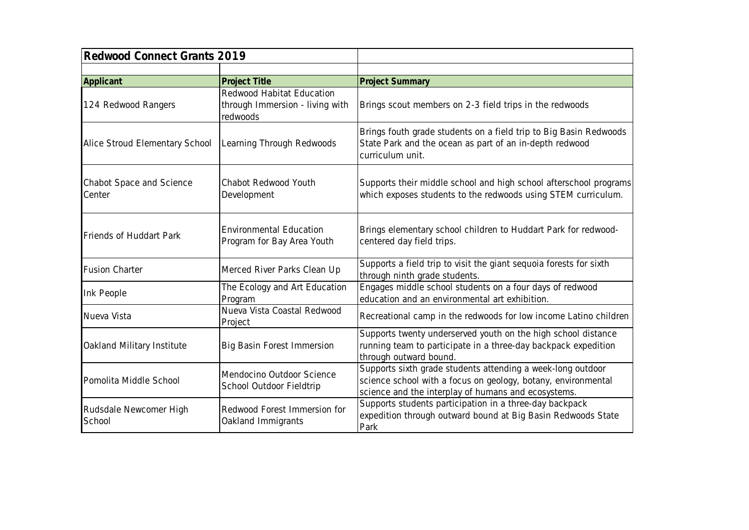| Redwood Connect Grants 2019        |                                                                          |                                                                                                                                                                                     |
|------------------------------------|--------------------------------------------------------------------------|-------------------------------------------------------------------------------------------------------------------------------------------------------------------------------------|
|                                    |                                                                          |                                                                                                                                                                                     |
| Applicant                          | Project Title                                                            | <b>Project Summary</b>                                                                                                                                                              |
| 124 Redwood Rangers                | Redwood Habitat Education<br>through Immersion - living with<br>redwoods | Brings scout members on 2-3 field trips in the redwoods                                                                                                                             |
| Alice Stroud Elementary School     | Learning Through Redwoods                                                | Brings fouth grade students on a field trip to Big Basin Redwoods<br>State Park and the ocean as part of an in-depth redwood<br>curriculum unit.                                    |
| Chabot Space and Science<br>Center | Chabot Redwood Youth<br>Development                                      | Supports their middle school and high school afterschool programs<br>which exposes students to the redwoods using STEM curriculum.                                                  |
| Friends of Huddart Park            | <b>Environmental Education</b><br>Program for Bay Area Youth             | Brings elementary school children to Huddart Park for redwood-<br>centered day field trips.                                                                                         |
| <b>Fusion Charter</b>              | Merced River Parks Clean Up                                              | Supports a field trip to visit the giant sequoia forests for sixth<br>through ninth grade students.                                                                                 |
| Ink People                         | The Ecology and Art Education<br>Program                                 | Engages middle school students on a four days of redwood<br>education and an environmental art exhibition.                                                                          |
| Nueva Vista                        | Nueva Vista Coastal Redwood<br>Project                                   | Recreational camp in the redwoods for low income Latino children                                                                                                                    |
| Oakland Military Institute         | <b>Big Basin Forest Immersion</b>                                        | Supports twenty underserved youth on the high school distance<br>running team to participate in a three-day backpack expedition<br>through outward bound.                           |
| Pomolita Middle School             | Mendocino Outdoor Science<br>School Outdoor Fieldtrip                    | Supports sixth grade students attending a week-long outdoor<br>science school with a focus on geology, botany, environmental<br>science and the interplay of humans and ecosystems. |
| Rudsdale Newcomer High<br>School   | Redwood Forest Immersion for<br>Oakland Immigrants                       | Supports students participation in a three-day backpack<br>expedition through outward bound at Big Basin Redwoods State<br>Park                                                     |